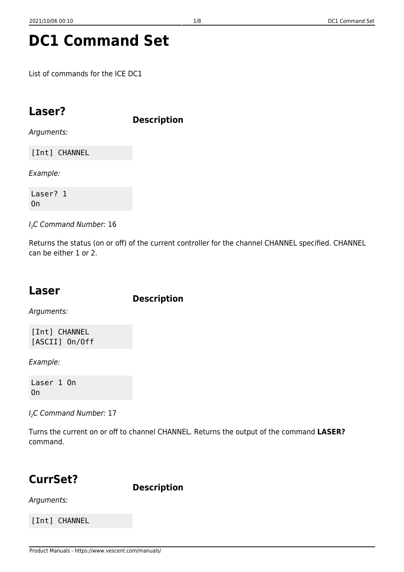# **DC1 Command Set**

List of commands for the ICE DC1

### **Laser?**

**Description**

Arguments:

[Int] CHANNEL

Example:

Laser? 1 On

I<sub>2</sub>C Command Number: 16

Returns the status (on or off) of the current controller for the channel CHANNEL specified. CHANNEL can be either 1 or 2.

### **Laser**

**Description**

Arguments:

[Int] CHANNEL [ASCII] On/Off

Example:

Laser 1 On On

I<sub>2</sub>C Command Number: 17

Turns the current on or off to channel CHANNEL. Returns the output of the command **LASER?** command.

# **CurrSet?**

**Description**

Arguments:

[Int] CHANNEL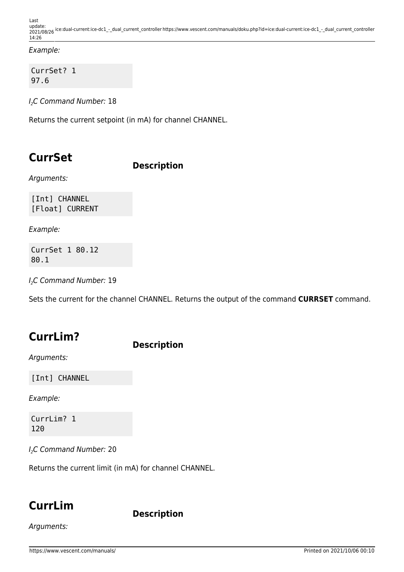Last update: ppace:<br>2021/08/26 <sup>ice:dual-current:ice-dc1\_-\_dual\_current\_controller https://www.vescent.com/manuals/doku.php?id=ice:dual-current:ice-dc1\_-\_dual\_current\_controller</sup> 14:26

Example:

CurrSet? 1 97.6

I<sub>2</sub>C Command Number: 18

Returns the current setpoint (in mA) for channel CHANNEL.

### **CurrSet**

#### **Description**

Arguments:

[Int] CHANNEL [Float] CURRENT

Example:

CurrSet 1 80.12 80.1

I<sub>2</sub>C Command Number: 19

Sets the current for the channel CHANNEL. Returns the output of the command **CURRSET** command.

### **CurrLim?**

**Description**

Arguments:

[Int] CHANNEL

Example:

CurrLim? 1 120

I<sub>2</sub>C Command Number: 20

Returns the current limit (in mA) for channel CHANNEL.

### **CurrLim**

**Description**

Arguments: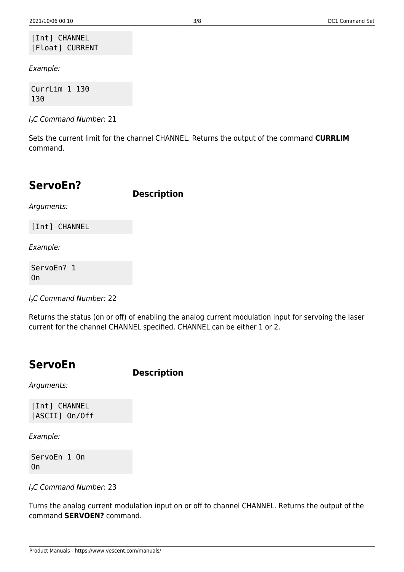#### [Int] CHANNEL [Float] CURRENT

Example:

CurrLim 1 130 130

I<sub>2</sub>C Command Number: 21

Sets the current limit for the channel CHANNEL. Returns the output of the command **CURRLIM** command.

### **ServoEn?**

**Description**

Arguments:

[Int] CHANNEL

Example:

ServoEn? 1 On

I<sub>2</sub>C Command Number: 22

Returns the status (on or off) of enabling the analog current modulation input for servoing the laser current for the channel CHANNEL specified. CHANNEL can be either 1 or 2.

### **ServoEn**

**Description**

Arguments:

[Int] CHANNEL [ASCII] On/Off

Example:

ServoEn 1 On On

I<sub>2</sub>C Command Number: 23

Turns the analog current modulation input on or off to channel CHANNEL. Returns the output of the command **SERVOEN?** command.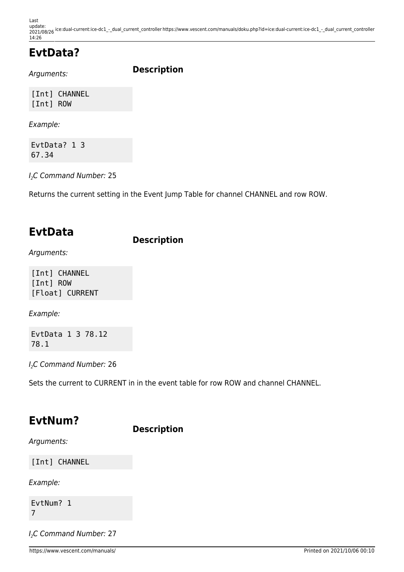Last update: ppace:<br>2021/08/26 <sup>ice:dual-current:ice-dc1\_-\_dual\_current\_controller https://www.vescent.com/manuals/doku.php?id=ice:dual-current:ice-dc1\_-\_dual\_current\_controller</sup> 14:26

## **EvtData?**

Arguments:

**Description**

[Int] CHANNEL [Int] ROW

Example:

EvtData? 1 3 67.34

I<sub>2</sub>C Command Number: 25

Returns the current setting in the Event Jump Table for channel CHANNEL and row ROW.

### **EvtData**

#### **Description**

Arguments:

[Int] CHANNEL [Int] ROW [Float] CURRENT

Example:

EvtData 1 3 78.12 78.1

I<sub>2</sub>C Command Number: 26

Sets the current to CURRENT in in the event table for row ROW and channel CHANNEL.

### **EvtNum?**

**Description**

Arguments:

[Int] CHANNEL

Example:

EvtNum? 1 7

I<sub>2</sub>C Command Number: 27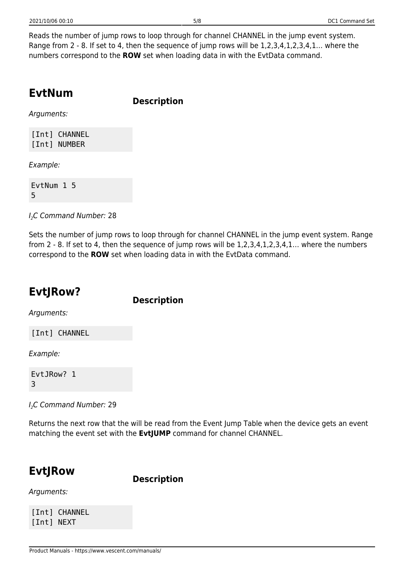Reads the number of jump rows to loop through for channel CHANNEL in the jump event system. Range from 2 - 8. If set to 4, then the sequence of jump rows will be 1,2,3,4,1,2,3,4,1… where the numbers correspond to the **ROW** set when loading data in with the EvtData command.

### **EvtNum**

**Description**

Arguments:

[Int] CHANNEL [Int] NUMBER

Example:

EvtNum 1 5 5

I<sub>2</sub>C Command Number: 28

Sets the number of jump rows to loop through for channel CHANNEL in the jump event system. Range from 2 - 8. If set to 4, then the sequence of jump rows will be 1,2,3,4,1,2,3,4,1… where the numbers correspond to the **ROW** set when loading data in with the EvtData command.

### **EvtJRow?**

**Description**

Arguments:

[Int] CHANNEL

Example:

EvtJRow? 1 3

I<sub>2</sub>C Command Number: 29

Returns the next row that the will be read from the Event Jump Table when the device gets an event matching the event set with the **EvtJUMP** command for channel CHANNEL.

### **EvtJRow**

**Description**

Arguments:

[Int] CHANNEL [Int] NEXT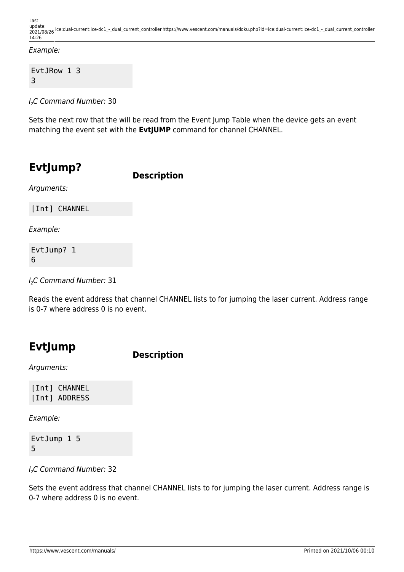#### Example:

EvtJRow 1 3 3

I2C Command Number: 30

Sets the next row that the will be read from the Event Jump Table when the device gets an event matching the event set with the **EvtJUMP** command for channel CHANNEL.

### **EvtJump?**

**Description**

Arguments:

[Int] CHANNEL

Example:

EvtJump? 1 6

I<sub>2</sub>C Command Number: 31

Reads the event address that channel CHANNEL lists to for jumping the laser current. Address range is 0-7 where address 0 is no event.

### **EvtJump**

**Description**

Arguments:

[Int] CHANNEL [Int] ADDRESS

Example:

EvtJump 1 5 5

I<sub>2</sub>C Command Number: 32

Sets the event address that channel CHANNEL lists to for jumping the laser current. Address range is 0-7 where address 0 is no event.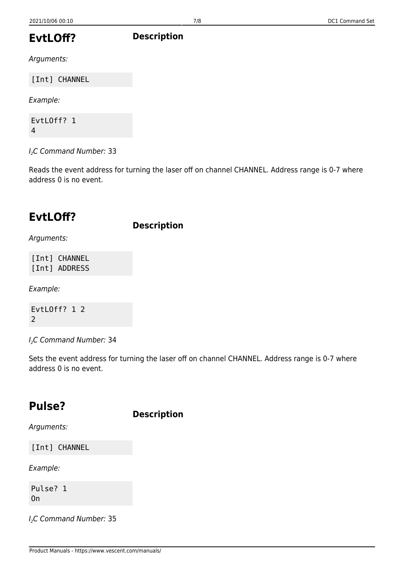# **Description**

### **EvtLOff?**

Arguments:

[Int] CHANNEL

Example:

EvtLOff? 1 4

 $I<sub>2</sub>C$  Command Number: 33

Reads the event address for turning the laser off on channel CHANNEL. Address range is 0-7 where address 0 is no event.

### **EvtLOff?**

**Description**

Arguments:

[Int] CHANNEL [Int] ADDRESS

Example:

EvtLOff? 1 2 2

I<sub>2</sub>C Command Number: 34

Sets the event address for turning the laser off on channel CHANNEL. Address range is 0-7 where address 0 is no event.

### **Pulse?**

**Description**

Arguments:

[Int] CHANNEL

Example:

Pulse? 1 On

I<sub>2</sub>C Command Number: 35